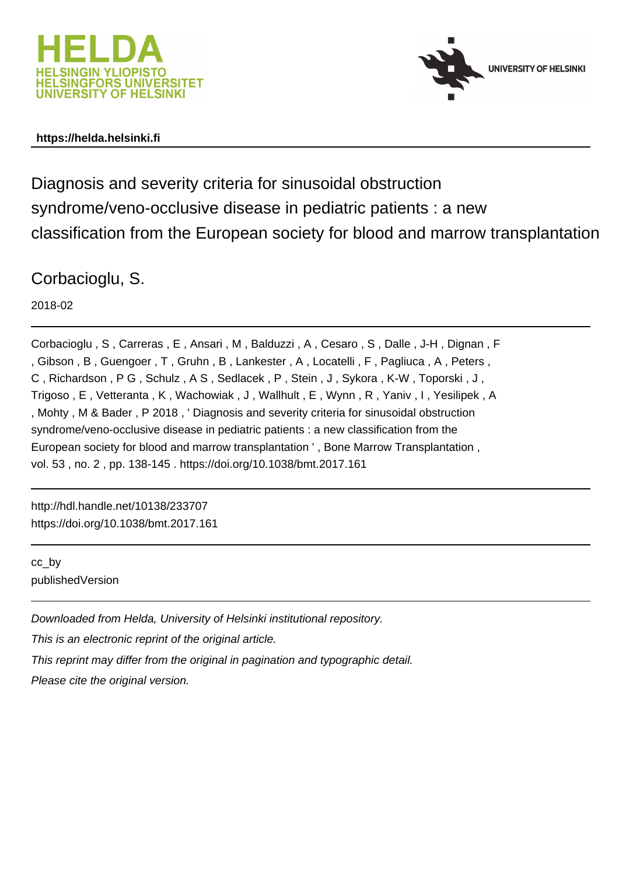



## **https://helda.helsinki.fi**

Diagnosis and severity criteria for sinusoidal obstruction syndrome/veno-occlusive disease in pediatric patients : a new classification from the European society for blood and marrow transplantation

# Corbacioglu, S.

2018-02

Corbacioglu , S , Carreras , E , Ansari , M , Balduzzi , A , Cesaro , S , Dalle , J-H , Dignan , F , Gibson , B , Guengoer , T , Gruhn , B , Lankester , A , Locatelli , F , Pagliuca , A , Peters , C , Richardson , P G , Schulz , A S , Sedlacek , P , Stein , J , Sykora , K-W , Toporski , J , Trigoso , E , Vetteranta , K , Wachowiak , J , Wallhult , E , Wynn , R , Yaniv , I , Yesilipek , A , Mohty , M & Bader , P 2018 , ' Diagnosis and severity criteria for sinusoidal obstruction syndrome/veno-occlusive disease in pediatric patients : a new classification from the European society for blood and marrow transplantation ' , Bone Marrow Transplantation , vol. 53 , no. 2 , pp. 138-145 . https://doi.org/10.1038/bmt.2017.161

http://hdl.handle.net/10138/233707 https://doi.org/10.1038/bmt.2017.161

cc\_by publishedVersion

Downloaded from Helda, University of Helsinki institutional repository.

This is an electronic reprint of the original article.

This reprint may differ from the original in pagination and typographic detail. Please cite the original version.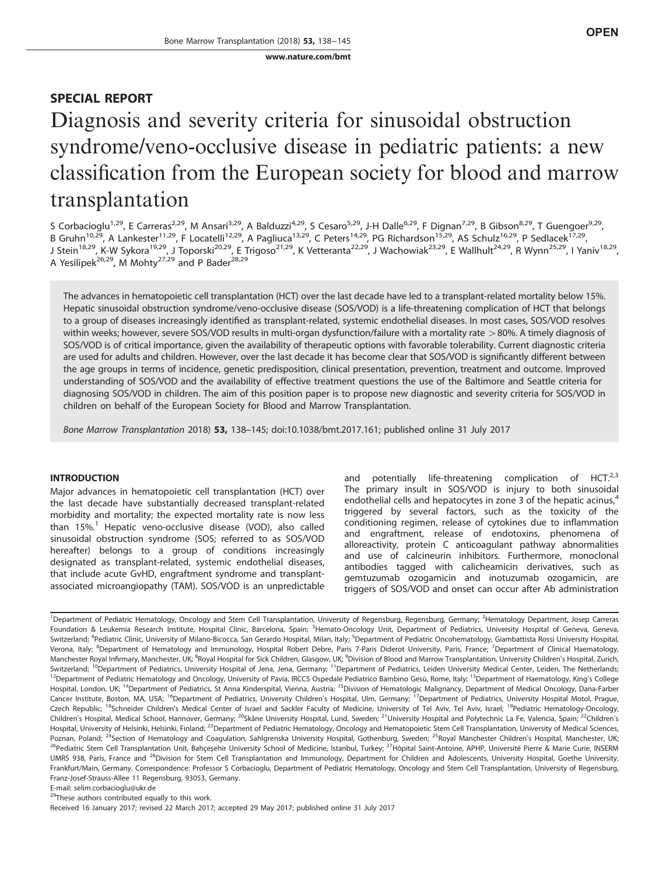[www.nature.com/bmt](http://www.nature.com/bmt)

### SPECIAL REPORT

# Diagnosis and severity criteria for sinusoidal obstruction syndrome/veno-occlusive disease in pediatric patients: a new classification from the European society for blood and marrow transplantation

S Corbacioglu<sup>1,29</sup>, E Carreras<sup>2,29</sup>, M Ansari<sup>3,29</sup>, A Balduzzi<sup>4,29</sup>, S Cesaro<sup>5,29</sup>, J-H Dalle<sup>6,29</sup>, F Dignan<sup>7,29</sup>, B Gibson<sup>8,29</sup>, T Guengoer<sup>9,29</sup>, B Gruhn<sup>10,29</sup>, A Lankester<sup>11,29</sup>, F Locatelli<sup>12,29</sup>, A Pagliuca<sup>13,29</sup>, C Peters<sup>14,29</sup>, PG Richardson<sup>15,29</sup>, AS Schulz<sup>16,29</sup>, P Sedlacek<sup>17,29</sup>, J Stein<sup>18,29</sup>, K-W Sykora<sup>19,29</sup>, J Toporski<sup>20,29</sup>, E Trigoso<sup>21,29</sup>, K Vetteranta<sup>22,29</sup>, J Wachowiak<sup>23,29</sup>, E Wallhult<sup>24,29</sup>, R Wynn<sup>25,29</sup>, I Yaniv<sup>18,29</sup>, A Yesilipek<sup>26,29</sup>, M Mohty<sup>27,29</sup> and P Bader<sup>28,29</sup>

The advances in hematopoietic cell transplantation (HCT) over the last decade have led to a transplant-related mortality below 15%. Hepatic sinusoidal obstruction syndrome/veno-occlusive disease (SOS/VOD) is a life-threatening complication of HCT that belongs to a group of diseases increasingly identified as transplant-related, systemic endothelial diseases. In most cases, SOS/VOD resolves within weeks; however, severe SOS/VOD results in multi-organ dysfunction/failure with a mortality rate >80%. A timely diagnosis of SOS/VOD is of critical importance, given the availability of therapeutic options with favorable tolerability. Current diagnostic criteria are used for adults and children. However, over the last decade it has become clear that SOS/VOD is significantly different between the age groups in terms of incidence, genetic predisposition, clinical presentation, prevention, treatment and outcome. Improved understanding of SOS/VOD and the availability of effective treatment questions the use of the Baltimore and Seattle criteria for diagnosing SOS/VOD in children. The aim of this position paper is to propose new diagnostic and severity criteria for SOS/VOD in children on behalf of the European Society for Blood and Marrow Transplantation.

Bone Marrow Transplantation 2018) 53, 138-145; doi[:10.1038/bmt.2017.161](http://dx.doi.org/10.1038/bmt.2017.161); published online 31 July 2017

#### INTRODUCTION

Major advances in hematopoietic cell transplantation (HCT) over the last decade have substantially decreased transplant-related morbidity and mortality; the expected mortality rate is now less than  $15\%$ .<sup>1</sup> Hepatic veno-occlusive disease (VOD), also called sinusoidal obstruction syndrome (SOS; referred to as SOS/VOD hereafter) belongs to a group of conditions increasingly designated as transplant-related, systemic endothelial diseases, that include acute GvHD, engraftment syndrome and transplantassociated microangiopathy (TAM). SOS/VOD is an unpredictable and potentially life-threatening complication of HCT. $^{2,3}$ The primary insult in SOS/VOD is injury to both sinusoidal endothelial cells and hepatocytes in zone 3 of the hepatic acinus,<sup>4</sup> triggered by several factors, such as the toxicity of the conditioning regimen, release of cytokines due to inflammation and engraftment, release of endotoxins, phenomena of alloreactivity, protein C anticoagulant pathway abnormalities and use of calcineurin inhibitors. Furthermore, monoclonal antibodies tagged with calicheamicin derivatives, such as gemtuzumab ozogamicin and inotuzumab ozogamicin, are triggers of SOS/VOD and onset can occur after Ab administration

<sup>1</sup>Department of Pediatric Hematology, Oncology and Stem Cell Transplantation, University of Regensburg, Regensburg, Germany; <sup>2</sup>Hematology Department, Josep Carreras Foundation & Leukemia Research Institute, Hospital Clínic, Barcelona, Spain; <sup>3</sup>Hemato-Oncology Unit, Department of Pediatrics, University Hospital of Geneva, Geneva, Switzerland; <sup>4</sup>Pediatric Clinic, University of Milano-Bicocca, San Gerardo Hospital, Milan, Italy; <sup>5</sup>Department of Pediatric Oncohematology, Giambattista Rossi University Hospital, Verona, Italy; <sup>6</sup>Department of Hematology and Immunology, Hospital Robert Debre, Paris 7-Paris Diderot University, Paris, France; <sup>7</sup>Department of Clinical Haematology, Manchester Royal Infirmary, Manchester, UK; <sup>8</sup>Royal Hospital for Sick Children, Glasgow, UK; <sup>9</sup>Division of Blood and Marrow Transplantation, University Children's Hospital, Zurich, Switzerland; <sup>10</sup>Department of Pediatrics, University Hospital of Jena, Jena, Germany; <sup>11</sup>Department of Pediatrics, Leiden University Medical Center, Leiden, The Netherlands; <sup>12</sup>Department of Pediatric Hematology and Oncology, University of Pavia, IRCCS Ospedale Pediatrico Bambino Gesù, Rome, Italy; <sup>13</sup>Department of Haematology, King's College Hospital, London, UK; <sup>14</sup>Department of Pediatrics, St Anna Kinderspital, Vienna, Austria; <sup>15</sup>Division of Hematologic Malignancy, Department of Medical Oncology, Dana-Farber Cancer Institute, Boston, MA, USA; <sup>16</sup>Department of Pediatrics, University Children's Hospital, Ulm, Germany; <sup>17</sup>Department of Pediatrics, University Hospital Motol, Prague, Czech Republic; <sup>18</sup>Schneider Children's Medical Center of Israel and Sackler Faculty of Medicine, University of Tel Aviv, Tel Aviv, Israel; <sup>19</sup>Pediatric Hematology-Oncology, Children's Hospital, Medical School, Hannover, Germany; <sup>20</sup>Skåne University Hospital, Lund, Sweden; <sup>21</sup>University Hospital and Polytechnic La Fe, Valencia, Spain; <sup>22</sup>Children's Hospital, University of Helsinki, Helsinki, Finland; <sup>23</sup>Department of Pediatric Hematology, Oncology and Hematopoietic Stem Cell Transplantation, University of Medical Sciences, Poznan, Poland; <sup>24</sup>Section of Hematology and Coagulation, Sahlgrenska University Hospital, Gothenburg, Sweden; <sup>25</sup>Royal Manchester Children's Hospital, Manchester, UK; <sup>26</sup>Pediatric Stem Cell Transplantation Unit, Bahçeşehir University School of Medicine, Istanbul, Turkey; <sup>27</sup>Hôpital Saint-Antoine, APHP, Université Pierre & Marie Curie, INSERM UMRS 938, Paris, France and <sup>28</sup>Division for Stem Cell Transplantation and Immunology, Department for Children and Adolescents, University, Hospital, Goethe University, Frankfurt/Main, Germany. Correspondence: Professor S Corbacioglu, Department of Pediatric Hematology, Oncology and Stem Cell Transplantation, University of Regensburg, Franz-Josef-Strauss-Allee 11 Regensburg, 93053, Germany.

E-mail: [selim.corbacioglu@ukr.de](mailto:selim.corbacioglu@ukr.de)

<sup>29</sup>These authors contributed equally to this work.

Received 16 January 2017; revised 22 March 2017; accepted 29 May 2017; published online 31 July 2017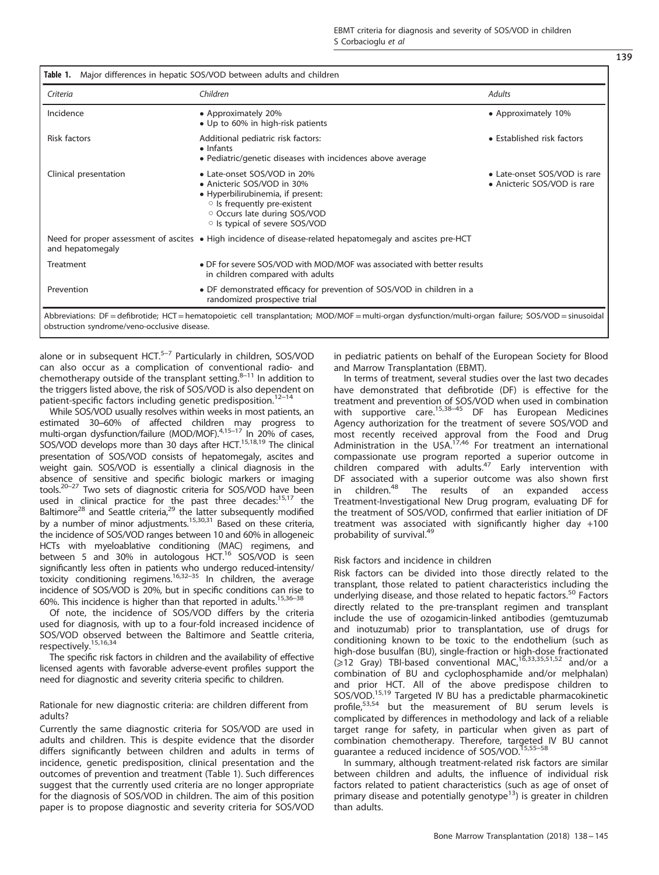| Criteria              | Children                                                                                                                                                                                                                                                                         | <b>Adults</b>       |  |  |
|-----------------------|----------------------------------------------------------------------------------------------------------------------------------------------------------------------------------------------------------------------------------------------------------------------------------|---------------------|--|--|
| Incidence             | • Approximately 20%<br>• Up to 60% in high-risk patients                                                                                                                                                                                                                         | • Approximately 10% |  |  |
| <b>Risk factors</b>   | • Established risk factors<br>Additional pediatric risk factors:<br>$\bullet$ Infants<br>• Pediatric/genetic diseases with incidences above average                                                                                                                              |                     |  |  |
| Clinical presentation | • Late-onset SOS/VOD in 20%<br>• Late-onset SOS/VOD is rare<br>• Anicteric SOS/VOD in 30%<br>• Anicteric SOS/VOD is rare<br>• Hyperbilirubinemia, if present:<br>$\circ$ Is frequently pre-existent<br>O Occurs late during SOS/VOD<br><sup>o</sup> Is typical of severe SOS/VOD |                     |  |  |
| and hepatomegaly      | Need for proper assessment of ascites • High incidence of disease-related hepatomegaly and ascites pre-HCT                                                                                                                                                                       |                     |  |  |
| Treatment             | • DF for severe SOS/VOD with MOD/MOF was associated with better results<br>in children compared with adults                                                                                                                                                                      |                     |  |  |
| Prevention            | • DF demonstrated efficacy for prevention of SOS/VOD in children in a<br>randomized prospective trial                                                                                                                                                                            |                     |  |  |

alone or in subsequent HCT.<sup>5–7</sup> Particularly in children, SOS/VOD can also occur as a complication of conventional radio- and chemotherapy outside of the transplant setting. $8-11$  In addition to the triggers listed above, the risk of SOS/VOD is also dependent on patient-specific factors including genetic predisposition.<sup>12–14</sup>

While SOS/VOD usually resolves within weeks in most patients, an estimated 30–60% of affected children may progress to multi-organ dysfunction/failure (MOD/MOF).<sup>4,15–17</sup> In 20% of cases, SOS/VOD develops more than 30 days after HCT.<sup>15,18,19</sup> The clinical presentation of SOS/VOD consists of hepatomegaly, ascites and weight gain. SOS/VOD is essentially a clinical diagnosis in the absence of sensitive and specific biologic markers or imaging tools.20–<sup>27</sup> Two sets of diagnostic criteria for SOS/VOD have been used in clinical practice for the past three decades:<sup>15,17</sup> the Baltimore<sup>28</sup> and Seattle criteria,<sup>29</sup> the latter subsequently modified by a number of minor adjustments.<sup>15,30,31</sup> Based on these criteria, the incidence of SOS/VOD ranges between 10 and 60% in allogeneic HCTs with myeloablative conditioning (MAC) regimens, and between 5 and 30% in autologous HCT.<sup>16</sup> SOS/VOD is seen significantly less often in patients who undergo reduced-intensity/ toxicity conditioning regimens.16,32–<sup>35</sup> In children, the average incidence of SOS/VOD is 20%, but in specific conditions can rise to 60%. This incidence is higher than that reported in adults.<sup>15,36–38</sup>

Of note, the incidence of SOS/VOD differs by the criteria used for diagnosis, with up to a four-fold increased incidence of SOS/VOD observed between the Baltimore and Seattle criteria, respectively.15,16,34

The specific risk factors in children and the availability of effective licensed agents with favorable adverse-event profiles support the need for diagnostic and severity criteria specific to children.

#### Rationale for new diagnostic criteria: are children different from adults?

Currently the same diagnostic criteria for SOS/VOD are used in adults and children. This is despite evidence that the disorder differs significantly between children and adults in terms of incidence, genetic predisposition, clinical presentation and the outcomes of prevention and treatment (Table 1). Such differences suggest that the currently used criteria are no longer appropriate for the diagnosis of SOS/VOD in children. The aim of this position paper is to propose diagnostic and severity criteria for SOS/VOD in pediatric patients on behalf of the European Society for Blood and Marrow Transplantation (EBMT).

In terms of treatment, several studies over the last two decades have demonstrated that defibrotide (DF) is effective for the treatment and prevention of SOS/VOD when used in combination with supportive care.<sup>15,38–45</sup> DF has European Medicines Agency authorization for the treatment of severe SOS/VOD and most recently received approval from the Food and Drug Administration in the USA.<sup>17,46</sup> For treatment an international compassionate use program reported a superior outcome in children compared with adults. $47$  Early intervention with DF associated with a superior outcome was also shown first in children.<sup>48</sup> The results of an expanded access Treatment-Investigational New Drug program, evaluating DF for the treatment of SOS/VOD, confirmed that earlier initiation of DF treatment was associated with significantly higher day +100 probability of survival.<sup>49</sup>

#### Risk factors and incidence in children

Risk factors can be divided into those directly related to the transplant, those related to patient characteristics including the underlying disease, and those related to hepatic factors.<sup>50</sup> Factors directly related to the pre-transplant regimen and transplant include the use of ozogamicin-linked antibodies (gemtuzumab and inotuzumab) prior to transplantation, use of drugs for conditioning known to be toxic to the endothelium (such as high-dose busulfan (BU), single-fraction or high-dose fractionated (≥12 Gray) TBI-based conventional MAC,<sup>16,33,35,51,52</sup> and/or a combination of BU and cyclophosphamide and/or melphalan) and prior HCT. All of the above predispose children to SOS/VOD.15,19 Targeted IV BU has a predictable pharmacokinetic profile,53,54 but the measurement of BU serum levels is complicated by differences in methodology and lack of a reliable target range for safety, in particular when given as part of combination chemotherapy. Therefore, targeted IV BU cannot guarantee a reduced incidence of SOS/VOD.<sup>15,55–58</sup>

In summary, although treatment-related risk factors are similar between children and adults, the influence of individual risk factors related to patient characteristics (such as age of onset of primary disease and potentially genotype $13$ ) is greater in children than adults.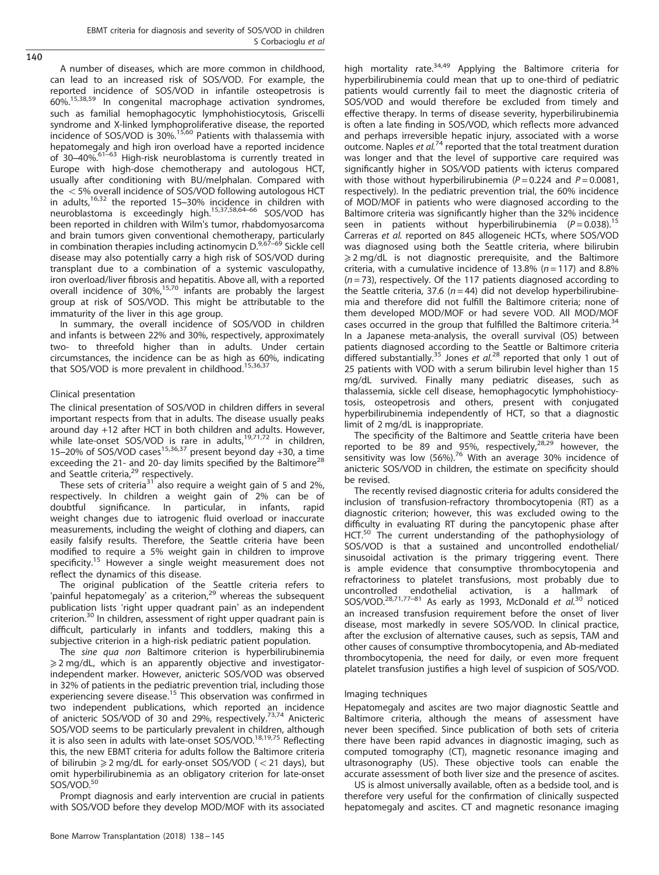$140$ 

A number of diseases, which are more common in childhood, can lead to an increased risk of SOS/VOD. For example, the reported incidence of SOS/VOD in infantile osteopetrosis is 60%.15,38,59 In congenital macrophage activation syndromes, such as familial hemophagocytic lymphohistiocytosis, Griscelli syndrome and X-linked lymphoproliferative disease, the reported<br>incidence of SOS/VOD is 30%.<sup>15,60</sup> Patients with thalassemia with hepatomegaly and high iron overload have a reported incidence<br>of 30–40%.<sup>61–63</sup> High-risk neuroblastoma is currently treated in Europe with high-dose chemotherapy and autologous HCT, usually after conditioning with BU/melphalan. Compared with the  $<$  5% overall incidence of SOS/VOD following autologous HCT in adults, $16,32$  the reported 15–30% incidence in children with neuroblastoma is exceedingly high.15,37,58,64–<sup>66</sup> SOS/VOD has been reported in children with Wilm's tumor, rhabdomyosarcoma and brain tumors given conventional chemotherapy, particularly<br>in combination therapies including actinomycin D.<sup>9,67–69</sup> Sickle cell disease may also potentially carry a high risk of SOS/VOD during transplant due to a combination of a systemic vasculopathy, iron overload/liver fibrosis and hepatitis. Above all, with a reported overall incidence of 30%,<sup>15,70</sup> infants are probably the largest group at risk of SOS/VOD. This might be attributable to the immaturity of the liver in this age group.

In summary, the overall incidence of SOS/VOD in children and infants is between 22% and 30%, respectively, approximately two- to threefold higher than in adults. Under certain circumstances, the incidence can be as high as 60%, indicating that SOS/VOD is more prevalent in childhood.<sup>15,36,37</sup>

#### Clinical presentation

The clinical presentation of SOS/VOD in children differs in several important respects from that in adults. The disease usually peaks around day +12 after HCT in both children and adults. However, while late-onset SOS/VOD is rare in adults,<sup>19,71,72</sup> in children, 15–20% of SOS/VOD cases<sup>15,36,37</sup> present beyond day +30, a time exceeding the 21- and 20- day limits specified by the Baltimore<sup>28</sup> and Seattle criteria,<sup>29</sup> respectively.

These sets of criteria<sup>31</sup> also require a weight gain of 5 and 2%, respectively. In children a weight gain of 2% can be of doubtful significance. In particular, in infants, rapid weight changes due to iatrogenic fluid overload or inaccurate measurements, including the weight of clothing and diapers, can easily falsify results. Therefore, the Seattle criteria have been modified to require a 5% weight gain in children to improve specificity.<sup>15</sup> However a single weight measurement does not reflect the dynamics of this disease.

The original publication of the Seattle criteria refers to 'painful hepatomegaly' as a criterion,<sup>29</sup> whereas the subsequent publication lists 'right upper quadrant pain' as an independent criterion.<sup>30</sup> In children, assessment of right upper quadrant pain is difficult, particularly in infants and toddlers, making this a subjective criterion in a high-risk pediatric patient population.

The sine qua non Baltimore criterion is hyperbilirubinemia  $\geq$  2 mg/dL, which is an apparently objective and investigatorindependent marker. However, anicteric SOS/VOD was observed in 32% of patients in the pediatric prevention trial, including those experiencing severe disease.<sup>15</sup> This observation was confirmed in two independent publications, which reported an incidence of anicteric SOS/VOD of 30 and 29%, respectively.<sup>73,74</sup> Anicteric SOS/VOD seems to be particularly prevalent in children, although it is also seen in adults with late-onset SOS/VOD.18,19,75 Reflecting this, the new EBMT criteria for adults follow the Baltimore criteria of bilirubin  $\geq 2$  mg/dL for early-onset SOS/VOD ( $<$  21 days), but omit hyperbilirubinemia as an obligatory criterion for late-onset SOS/VOD.<sup>50</sup>

Prompt diagnosis and early intervention are crucial in patients with SOS/VOD before they develop MOD/MOF with its associated

high mortality rate. $34,49$  Applying the Baltimore criteria for hyperbilirubinemia could mean that up to one-third of pediatric patients would currently fail to meet the diagnostic criteria of SOS/VOD and would therefore be excluded from timely and effective therapy. In terms of disease severity, hyperbilirubinemia is often a late finding in SOS/VOD, which reflects more advanced and perhaps irreversible hepatic injury, associated with a worse outcome. Naples et  $al^{74}$  reported that the total treatment duration was longer and that the level of supportive care required was significantly higher in SOS/VOD patients with icterus compared with those without hyperbilirubinemia ( $P = 0.224$  and  $P = 0.0081$ , respectively). In the pediatric prevention trial, the 60% incidence of MOD/MOF in patients who were diagnosed according to the Baltimore criteria was significantly higher than the 32% incidence seen in patients without hyperbilirubinemia  $(P=0.038).$ <sup>15</sup> Carreras et al. reported on 845 allogeneic HCTs, where SOS/VOD was diagnosed using both the Seattle criteria, where bilirubin ⩾2 mg/dL is not diagnostic prerequisite, and the Baltimore criteria, with a cumulative incidence of 13.8% ( $n = 117$ ) and 8.8%  $(n = 73)$ , respectively. Of the 117 patients diagnosed according to the Seattle criteria, 37.6 ( $n = 44$ ) did not develop hyperbilirubinemia and therefore did not fulfill the Baltimore criteria; none of them developed MOD/MOF or had severe VOD. All MOD/MOF cases occurred in the group that fulfilled the Baltimore criteria.<sup>34</sup> In a Japanese meta-analysis, the overall survival (OS) between patients diagnosed according to the Seattle or Baltimore criteria differed substantially.<sup>35</sup> Jones *et al.*<sup>28</sup> reported that only 1 out of 25 patients with VOD with a serum bilirubin level higher than 15 mg/dL survived. Finally many pediatric diseases, such as thalassemia, sickle cell disease, hemophagocytic lymphohistiocytosis, osteopetrosis and others, present with conjugated hyperbilirubinemia independently of HCT, so that a diagnostic limit of 2 mg/dL is inappropriate.

The specificity of the Baltimore and Seattle criteria have been reported to be 89 and 95%, respectively, $28,29$  however, the sensitivity was low  $(56%)$ .<sup>76</sup> With an average 30% incidence of anicteric SOS/VOD in children, the estimate on specificity should be revised.

The recently revised diagnostic criteria for adults considered the inclusion of transfusion-refractory thrombocytopenia (RT) as a diagnostic criterion; however, this was excluded owing to the difficulty in evaluating RT during the pancytopenic phase after HCT.<sup>50</sup> The current understanding of the pathophysiology of SOS/VOD is that a sustained and uncontrolled endothelial/ sinusoidal activation is the primary triggering event. There is ample evidence that consumptive thrombocytopenia and refractoriness to platelet transfusions, most probably due to uncontrolled endothelial activation, is a hallmark of SOS/VOD.<sup>28,71,77-81</sup> As early as 1993, McDonald et al.<sup>30</sup> noticed an increased transfusion requirement before the onset of liver disease, most markedly in severe SOS/VOD. In clinical practice, after the exclusion of alternative causes, such as sepsis, TAM and other causes of consumptive thrombocytopenia, and Ab-mediated thrombocytopenia, the need for daily, or even more frequent platelet transfusion justifies a high level of suspicion of SOS/VOD.

#### Imaging techniques

Hepatomegaly and ascites are two major diagnostic Seattle and Baltimore criteria, although the means of assessment have never been specified. Since publication of both sets of criteria there have been rapid advances in diagnostic imaging, such as computed tomography (CT), magnetic resonance imaging and ultrasonography (US). These objective tools can enable the accurate assessment of both liver size and the presence of ascites.

US is almost universally available, often as a bedside tool, and is therefore very useful for the confirmation of clinically suspected hepatomegaly and ascites. CT and magnetic resonance imaging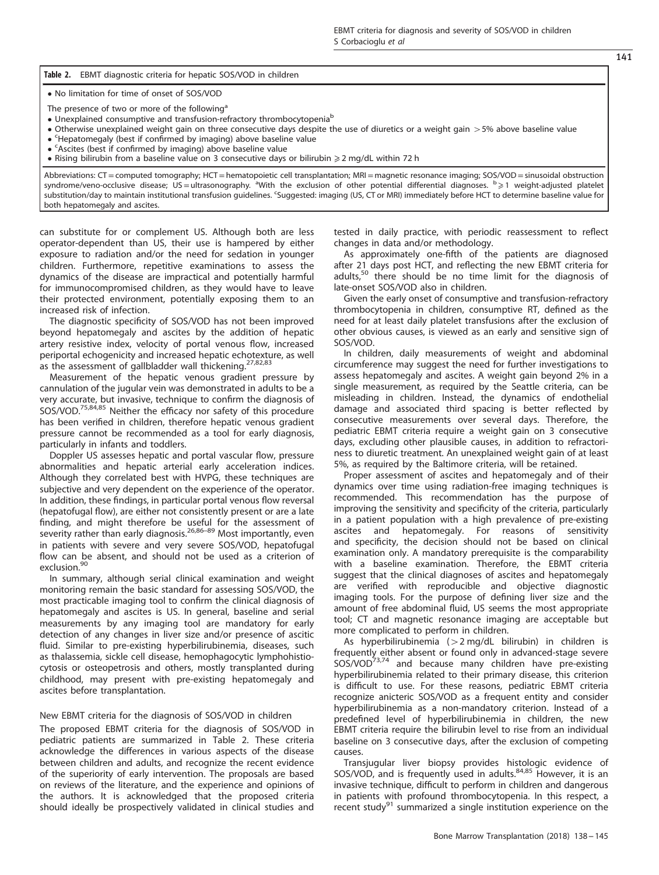| <sup>1</sup> Table 2. | EBMT diagnostic criteria for hepatic SOS/VOD in children |
|-----------------------|----------------------------------------------------------|
|                       |                                                          |

• No limitation for time of onset of SOS/VOD

The presence of two or more of the following<sup>a</sup>

- Unexplained consumptive and transfusion-refractory thrombocytopenia<sup>b</sup>
- Otherwise unexplained weight gain on three consecutive days despite the use of diuretics or a weight gain >5% above baseline value
- 'Hepatomegaly (best if confirmed by imaging) above baseline value
- <sup>c</sup>Ascites (best if confirmed by imaging) above baseline value
- Rising bilirubin from a baseline value on 3 consecutive days or bilirubin  $\geq 2$  mg/dL within 72 h

Abbreviations: CT = computed tomography; HCT = hematopoietic cell transplantation; MRI = magnetic resonance imaging; SOS/VOD = sinusoidal obstruction syndrome/veno-occlusive disease; US=ultrasonography. <sup>a</sup>With the exclusion of other potential differential diagnoses. <sup>b</sup>≥1 weight-adjusted platelet substitution/day to maintain institutional transfusion guidelines. <sup>c</sup>Suggested: imaging (US, CT or MRI) immediately before HCT to determine baseline value for both hepatomegaly and ascites.

can substitute for or complement US. Although both are less operator-dependent than US, their use is hampered by either exposure to radiation and/or the need for sedation in younger children. Furthermore, repetitive examinations to assess the dynamics of the disease are impractical and potentially harmful for immunocompromised children, as they would have to leave their protected environment, potentially exposing them to an increased risk of infection.

The diagnostic specificity of SOS/VOD has not been improved beyond hepatomegaly and ascites by the addition of hepatic artery resistive index, velocity of portal venous flow, increased periportal echogenicity and increased hepatic echotexture, as well as the assessment of gallbladder wall thickening.<sup>27,82,83</sup>

Measurement of the hepatic venous gradient pressure by cannulation of the jugular vein was demonstrated in adults to be a very accurate, but invasive, technique to confirm the diagnosis of SOS/VOD.75,84,85 Neither the efficacy nor safety of this procedure has been verified in children, therefore hepatic venous gradient pressure cannot be recommended as a tool for early diagnosis, particularly in infants and toddlers.

Doppler US assesses hepatic and portal vascular flow, pressure abnormalities and hepatic arterial early acceleration indices. Although they correlated best with HVPG, these techniques are subjective and very dependent on the experience of the operator. In addition, these findings, in particular portal venous flow reversal (hepatofugal flow), are either not consistently present or are a late finding, and might therefore be useful for the assessment of severity rather than early diagnosis.<sup>26,86–89</sup> Most importantly, even in patients with severe and very severe SOS/VOD, hepatofugal flow can be absent, and should not be used as a criterion of exclusion.<sup>90</sup>

In summary, although serial clinical examination and weight monitoring remain the basic standard for assessing SOS/VOD, the most practicable imaging tool to confirm the clinical diagnosis of hepatomegaly and ascites is US. In general, baseline and serial measurements by any imaging tool are mandatory for early detection of any changes in liver size and/or presence of ascitic fluid. Similar to pre-existing hyperbilirubinemia, diseases, such as thalassemia, sickle cell disease, hemophagocytic lymphohistiocytosis or osteopetrosis and others, mostly transplanted during childhood, may present with pre-existing hepatomegaly and ascites before transplantation.

#### New EBMT criteria for the diagnosis of SOS/VOD in children

The proposed EBMT criteria for the diagnosis of SOS/VOD in pediatric patients are summarized in Table 2. These criteria acknowledge the differences in various aspects of the disease between children and adults, and recognize the recent evidence of the superiority of early intervention. The proposals are based on reviews of the literature, and the experience and opinions of the authors. It is acknowledged that the proposed criteria should ideally be prospectively validated in clinical studies and tested in daily practice, with periodic reassessment to reflect changes in data and/or methodology.

As approximately one-fifth of the patients are diagnosed after 21 days post HCT, and reflecting the new EBMT criteria for adults,<sup>50</sup> there should be no time limit for the diagnosis of late-onset SOS/VOD also in children.

Given the early onset of consumptive and transfusion-refractory thrombocytopenia in children, consumptive RT, defined as the need for at least daily platelet transfusions after the exclusion of other obvious causes, is viewed as an early and sensitive sign of SOS/VOD.

In children, daily measurements of weight and abdominal circumference may suggest the need for further investigations to assess hepatomegaly and ascites. A weight gain beyond 2% in a single measurement, as required by the Seattle criteria, can be misleading in children. Instead, the dynamics of endothelial damage and associated third spacing is better reflected by consecutive measurements over several days. Therefore, the pediatric EBMT criteria require a weight gain on 3 consecutive days, excluding other plausible causes, in addition to refractoriness to diuretic treatment. An unexplained weight gain of at least 5%, as required by the Baltimore criteria, will be retained.

Proper assessment of ascites and hepatomegaly and of their dynamics over time using radiation-free imaging techniques is recommended. This recommendation has the purpose of improving the sensitivity and specificity of the criteria, particularly in a patient population with a high prevalence of pre-existing ascites and hepatomegaly. For reasons of sensitivity and specificity, the decision should not be based on clinical examination only. A mandatory prerequisite is the comparability with a baseline examination. Therefore, the EBMT criteria suggest that the clinical diagnoses of ascites and hepatomegaly are verified with reproducible and objective diagnostic imaging tools. For the purpose of defining liver size and the amount of free abdominal fluid, US seems the most appropriate tool; CT and magnetic resonance imaging are acceptable but more complicated to perform in children.

As hyperbilirubinemia  $(>2 \text{ mg/dL}$  bilirubin) in children is frequently either absent or found only in advanced-stage severe SOS/VOD<sup>73,74</sup> and because many children have pre-existing hyperbilirubinemia related to their primary disease, this criterion is difficult to use. For these reasons, pediatric EBMT criteria recognize anicteric SOS/VOD as a frequent entity and consider hyperbilirubinemia as a non-mandatory criterion. Instead of a predefined level of hyperbilirubinemia in children, the new EBMT criteria require the bilirubin level to rise from an individual baseline on 3 consecutive days, after the exclusion of competing causes.

Transjugular liver biopsy provides histologic evidence of SOS/VOD, and is frequently used in adults.<sup>84,85</sup> However, it is an invasive technique, difficult to perform in children and dangerous in patients with profound thrombocytopenia. In this respect, a recent study<sup>91</sup> summarized a single institution experience on the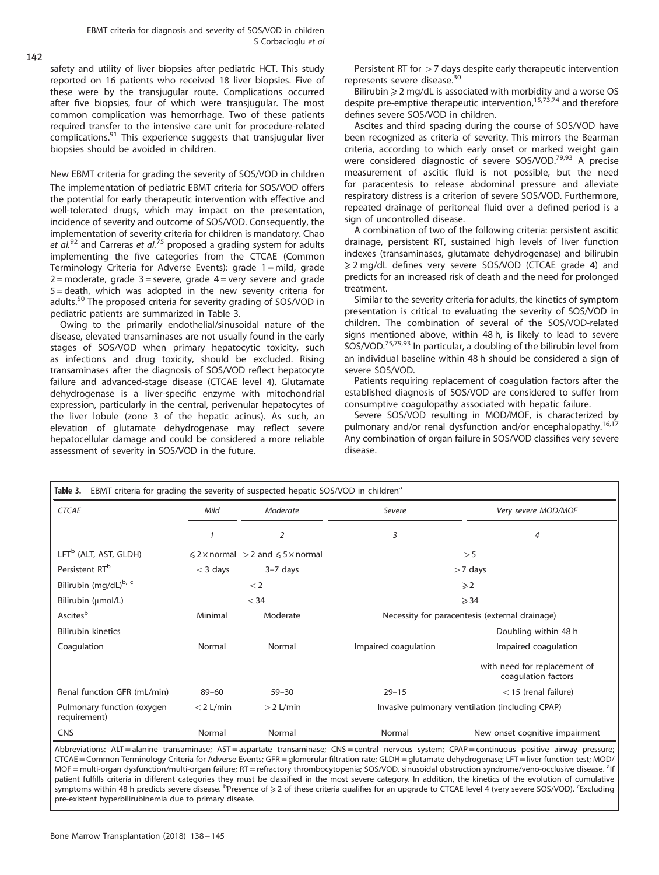safety and utility of liver biopsies after pediatric HCT. This study reported on 16 patients who received 18 liver biopsies. Five of these were by the transjugular route. Complications occurred after five biopsies, four of which were transjugular. The most common complication was hemorrhage. Two of these patients required transfer to the intensive care unit for procedure-related complications.<sup>91</sup> This experience suggests that transjugular liver biopsies should be avoided in children.

New EBMT criteria for grading the severity of SOS/VOD in children The implementation of pediatric EBMT criteria for SOS/VOD offers the potential for early therapeutic intervention with effective and well-tolerated drugs, which may impact on the presentation, incidence of severity and outcome of SOS/VOD. Consequently, the implementation of severity criteria for children is mandatory. Chao et al.<sup>92</sup> and Carreras et al.<sup>75</sup> proposed a grading system for adults implementing the five categories from the CTCAE (Common Terminology Criteria for Adverse Events): grade 1 = mild, grade  $2 =$  moderate, grade  $3 =$  severe, grade  $4 =$  very severe and grade 5 = death, which was adopted in the new severity criteria for adults.<sup>50</sup> The proposed criteria for severity grading of SOS/VOD in pediatric patients are summarized in Table 3.

Owing to the primarily endothelial/sinusoidal nature of the disease, elevated transaminases are not usually found in the early stages of SOS/VOD when primary hepatocytic toxicity, such as infections and drug toxicity, should be excluded. Rising transaminases after the diagnosis of SOS/VOD reflect hepatocyte failure and advanced-stage disease (CTCAE level 4). Glutamate dehydrogenase is a liver-specific enzyme with mitochondrial expression, particularly in the central, perivenular hepatocytes of the liver lobule (zone 3 of the hepatic acinus). As such, an elevation of glutamate dehydrogenase may reflect severe hepatocellular damage and could be considered a more reliable assessment of severity in SOS/VOD in the future.

Persistent RT for  $>7$  days despite early therapeutic intervention represents severe disease.<sup>30</sup>

Bilirubin  $\geqslant$  2 mg/dL is associated with morbidity and a worse OS despite pre-emptive therapeutic intervention,  $15,73,74$  and therefore defines severe SOS/VOD in children.

Ascites and third spacing during the course of SOS/VOD have been recognized as criteria of severity. This mirrors the Bearman criteria, according to which early onset or marked weight gain were considered diagnostic of severe SOS/VOD.<sup>79,93</sup> A precise measurement of ascitic fluid is not possible, but the need for paracentesis to release abdominal pressure and alleviate respiratory distress is a criterion of severe SOS/VOD. Furthermore, repeated drainage of peritoneal fluid over a defined period is a sign of uncontrolled disease.

A combination of two of the following criteria: persistent ascitic drainage, persistent RT, sustained high levels of liver function indexes (transaminases, glutamate dehydrogenase) and bilirubin ≥ 2 mg/dL defines very severe SOS/VOD (CTCAE grade 4) and predicts for an increased risk of death and the need for prolonged treatment.

Similar to the severity criteria for adults, the kinetics of symptom presentation is critical to evaluating the severity of SOS/VOD in children. The combination of several of the SOS/VOD-related signs mentioned above, within 48 h, is likely to lead to severe SOS/VOD.75,79,93 In particular, a doubling of the bilirubin level from an individual baseline within 48 h should be considered a sign of severe SOS/VOD.

Patients requiring replacement of coagulation factors after the established diagnosis of SOS/VOD are considered to suffer from consumptive coagulopathy associated with hepatic failure.

Severe SOS/VOD resulting in MOD/MOF, is characterized by pulmonary and/or renal dysfunction and/or encephalopathy.<sup>16,17</sup> Any combination of organ failure in SOS/VOD classifies very severe disease.

| <b>CTCAE</b>                               | Mild                                                  | Moderate<br>$\overline{2}$ | Severe<br>3                                     | Very severe MOD/MOF<br>4                            |
|--------------------------------------------|-------------------------------------------------------|----------------------------|-------------------------------------------------|-----------------------------------------------------|
|                                            |                                                       |                            |                                                 |                                                     |
| LFT <sup>b</sup> (ALT, AST, GLDH)          | $\leq 2 \times$ normal > 2 and $\leq 5 \times$ normal |                            | > 5                                             |                                                     |
| Persistent RT <sup>b</sup>                 | $<$ 3 days                                            | $3-7$ days                 | $>7$ days                                       |                                                     |
| Bilirubin (mg/dL) <sup>b, c</sup>          | $<$ 2                                                 |                            | $\geqslant$ 2                                   |                                                     |
| Bilirubin (µmol/L)                         | $<$ 34                                                |                            | $\geqslant$ 34                                  |                                                     |
| Ascitesb                                   | Minimal                                               | Moderate                   | Necessity for paracentesis (external drainage)  |                                                     |
| <b>Bilirubin kinetics</b>                  |                                                       |                            |                                                 | Doubling within 48 h                                |
| Coagulation                                | Normal                                                | Normal                     | Impaired coagulation                            | Impaired coagulation                                |
|                                            |                                                       |                            |                                                 | with need for replacement of<br>coagulation factors |
| Renal function GFR (mL/min)                | $89 - 60$                                             | $59 - 30$                  | $29 - 15$                                       | $<$ 15 (renal failure)                              |
| Pulmonary function (oxygen<br>requirement) | $<$ 2 L/min                                           | $>2$ L/min                 | Invasive pulmonary ventilation (including CPAP) |                                                     |
| <b>CNS</b>                                 | Normal                                                | Normal                     | Normal                                          | New onset cognitive impairment                      |

Abbreviations: ALT= alanine transaminase; AST= aspartate transaminase; CNS =central nervous system; CPAP=continuous positive airway pressure; CTCAE =Common Terminology Criteria for Adverse Events; GFR =glomerular filtration rate; GLDH = glutamate dehydrogenase; LFT =liver function test; MOD/ MOF = multi-organ dysfunction/multi-organ failure; RT = refractory thrombocytopenia; SOS/VOD, sinusoidal obstruction syndrome/veno-occlusive disease. <sup>a</sup>lf patient fulfills criteria in different categories they must be classified in the most severe category. In addition, the kinetics of the evolution of cumulative symptoms within 48 h predicts severe disease. <sup>b</sup>Presence of ≥ 2 of these criteria qualifies for an upgrade to CTCAE level 4 (very severe SOS/VOD). <sup>c</sup>Excluding pre-existent hyperbilirubinemia due to primary disease.

 $142$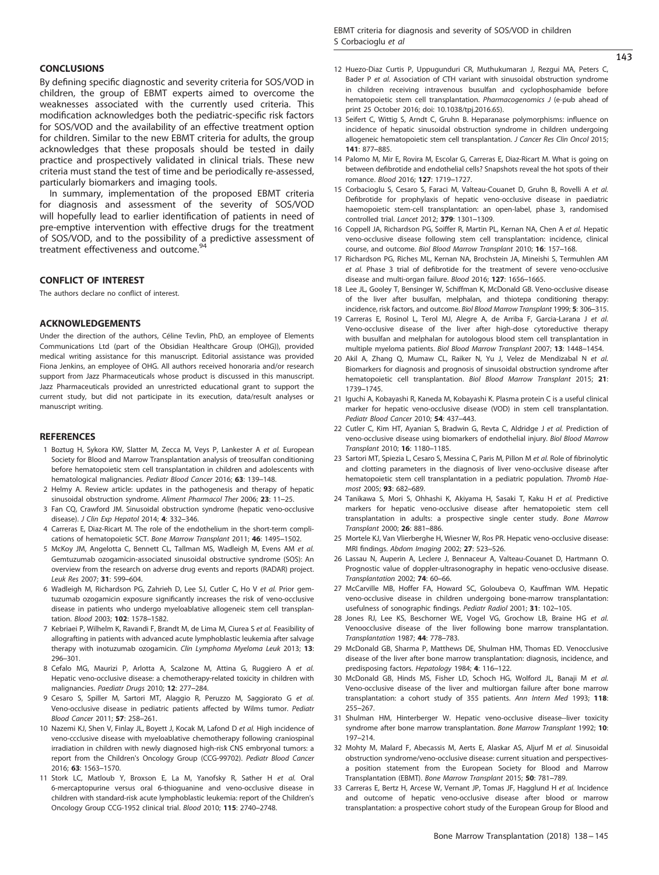#### 143

#### **CONCLUSIONS**

By defining specific diagnostic and severity criteria for SOS/VOD in children, the group of EBMT experts aimed to overcome the weaknesses associated with the currently used criteria. This modification acknowledges both the pediatric-specific risk factors for SOS/VOD and the availability of an effective treatment option for children. Similar to the new EBMT criteria for adults, the group acknowledges that these proposals should be tested in daily practice and prospectively validated in clinical trials. These new criteria must stand the test of time and be periodically re-assessed, particularly biomarkers and imaging tools.

In summary, implementation of the proposed EBMT criteria for diagnosis and assessment of the severity of SOS/VOD will hopefully lead to earlier identification of patients in need of pre-emptive intervention with effective drugs for the treatment of SOS/VOD, and to the possibility of a predictive assessment of treatment effectiveness and outcome.<sup>94</sup>

#### CONFLICT OF INTEREST

The authors declare no conflict of interest.

#### ACKNOWLEDGEMENTS

Under the direction of the authors, Céline Tevlin, PhD, an employee of Elements Communications Ltd (part of the Obsidian Healthcare Group (OHG)), provided medical writing assistance for this manuscript. Editorial assistance was provided Fiona Jenkins, an employee of OHG. All authors received honoraria and/or research support from Jazz Pharmaceuticals whose product is discussed in this manuscript. Jazz Pharmaceuticals provided an unrestricted educational grant to support the current study, but did not participate in its execution, data/result analyses or manuscript writing.

#### **REFERENCES**

- 1 Boztug H, Sykora KW, Slatter M, Zecca M, Veys P, Lankester A et al. European Society for Blood and Marrow Transplantation analysis of treosulfan conditioning before hematopoietic stem cell transplantation in children and adolescents with hematological malignancies. Pediatr Blood Cancer 2016; 63: 139–148.
- 2 Helmy A. Review article: updates in the pathogenesis and therapy of hepatic sinusoidal obstruction syndrome. Aliment Pharmacol Ther 2006; 23: 11–25.
- 3 Fan CQ, Crawford JM. Sinusoidal obstruction syndrome (hepatic veno-occlusive disease). J Clin Exp Hepatol 2014; 4: 332–346.
- 4 Carreras E, Diaz-Ricart M. The role of the endothelium in the short-term complications of hematopoietic SCT. Bone Marrow Transplant 2011; 46: 1495–1502.
- 5 McKoy JM, Angelotta C, Bennett CL, Tallman MS, Wadleigh M, Evens AM et al. Gemtuzumab ozogamicin-associated sinusoidal obstructive syndrome (SOS): An overview from the research on adverse drug events and reports (RADAR) project. Leuk Res 2007; 31: 599–604.
- 6 Wadleigh M, Richardson PG, Zahrieh D, Lee SJ, Cutler C, Ho V et al. Prior gemtuzumab ozogamicin exposure significantly increases the risk of veno-occlusive disease in patients who undergo myeloablative allogeneic stem cell transplantation. Blood 2003; 102: 1578–1582.
- 7 Kebriaei P, Wilhelm K, Ravandi F, Brandt M, de Lima M, Ciurea S et al. Feasibility of allografting in patients with advanced acute lymphoblastic leukemia after salvage therapy with inotuzumab ozogamicin. Clin Lymphoma Myeloma Leuk 2013; 13: 296–301.
- 8 Cefalo MG, Maurizi P, Arlotta A, Scalzone M, Attina G, Ruggiero A et al. Hepatic veno-occlusive disease: a chemotherapy-related toxicity in children with malignancies. Paediatr Drugs 2010; 12: 277–284.
- 9 Cesaro S, Spiller M, Sartori MT, Alaggio R, Peruzzo M, Saggiorato G et al. Veno-occlusive disease in pediatric patients affected by Wilms tumor. Pediatr Blood Cancer 2011; 57: 258–261.
- 10 Nazemi KJ, Shen V, Finlay JL, Boyett J, Kocak M, Lafond D et al. High incidence of veno-ccclusive disease with myeloablative chemotherapy following craniospinal irradiation in children with newly diagnosed high-risk CNS embryonal tumors: a report from the Children's Oncology Group (CCG-99702). Pediatr Blood Cancer 2016; 63: 1563–1570.
- 11 Stork LC, Matloub Y, Broxson E, La M, Yanofsky R, Sather H et al. Oral 6-mercaptopurine versus oral 6-thioguanine and veno-occlusive disease in children with standard-risk acute lymphoblastic leukemia: report of the Children's Oncology Group CCG-1952 clinical trial. Blood 2010; 115: 2740–2748.
- 12 Huezo-Diaz Curtis P, Uppugunduri CR, Muthukumaran J, Rezgui MA, Peters C, Bader P et al. Association of CTH variant with sinusoidal obstruction syndrome in children receiving intravenous busulfan and cyclophosphamide before hematopoietic stem cell transplantation. Pharmacogenomics J (e-pub ahead of print 25 October 2016; doi: 10.1038/tpj.2016.65).
- 13 Seifert C, Wittig S, Arndt C, Gruhn B. Heparanase polymorphisms: influence on incidence of hepatic sinusoidal obstruction syndrome in children undergoing allogeneic hematopoietic stem cell transplantation. J Cancer Res Clin Oncol 2015; 141: 877–885.
- 14 Palomo M, Mir E, Rovira M, Escolar G, Carreras E, Diaz-Ricart M. What is going on between defibrotide and endothelial cells? Snapshots reveal the hot spots of their romance. Blood 2016; 127: 1719–1727.
- 15 Corbacioglu S, Cesaro S, Faraci M, Valteau-Couanet D, Gruhn B, Rovelli A et al. Defibrotide for prophylaxis of hepatic veno-occlusive disease in paediatric haemopoietic stem-cell transplantation: an open-label, phase 3, randomised controlled trial. Lancet 2012; 379: 1301–1309.
- 16 Coppell JA, Richardson PG, Soiffer R, Martin PL, Kernan NA, Chen A et al. Hepatic veno-occlusive disease following stem cell transplantation: incidence, clinical course, and outcome. Biol Blood Marrow Transplant 2010; 16: 157–168.
- 17 Richardson PG, Riches ML, Kernan NA, Brochstein JA, Mineishi S, Termuhlen AM et al. Phase 3 trial of defibrotide for the treatment of severe veno-occlusive disease and multi-organ failure. Blood 2016; 127: 1656–1665.
- 18 Lee JL, Gooley T, Bensinger W, Schiffman K, McDonald GB. Veno-occlusive disease of the liver after busulfan, melphalan, and thiotepa conditioning therapy: incidence, risk factors, and outcome. Biol Blood Marrow Transplant 1999; 5: 306–315.
- 19 Carreras E, Rosinol L, Terol MJ, Alegre A, de Arriba F, Garcia-Larana J et al. Veno-occlusive disease of the liver after high-dose cytoreductive therapy with busulfan and melphalan for autologous blood stem cell transplantation in multiple myeloma patients. Biol Blood Marrow Transplant 2007; 13: 1448–1454.
- 20 Akil A, Zhang Q, Mumaw CL, Raiker N, Yu J, Velez de Mendizabal N et al. Biomarkers for diagnosis and prognosis of sinusoidal obstruction syndrome after hematopoietic cell transplantation. Biol Blood Marrow Transplant 2015; 21: 1739–1745.
- 21 Iguchi A, Kobayashi R, Kaneda M, Kobayashi K. Plasma protein C is a useful clinical marker for hepatic veno-occlusive disease (VOD) in stem cell transplantation. Pediatr Blood Cancer 2010; 54: 437–443.
- 22 Cutler C, Kim HT, Ayanian S, Bradwin G, Revta C, Aldridge J et al. Prediction of veno-occlusive disease using biomarkers of endothelial injury. Biol Blood Marrow Transplant 2010; 16: 1180-1185.
- 23 Sartori MT, Spiezia L, Cesaro S, Messina C, Paris M, Pillon M et al. Role of fibrinolytic and clotting parameters in the diagnosis of liver veno-occlusive disease after hematopoietic stem cell transplantation in a pediatric population. Thromb Haemost 2005; 93: 682–689.
- 24 Tanikawa S, Mori S, Ohhashi K, Akiyama H, Sasaki T, Kaku H et al. Predictive markers for hepatic veno-occlusive disease after hematopoietic stem cell transplantation in adults: a prospective single center study. Bone Marrow Transplant 2000; 26: 881–886.
- 25 Mortele KJ, Van Vlierberghe H, Wiesner W, Ros PR. Hepatic veno-occlusive disease: MRI findings. Abdom Imaging 2002; 27: 523–526.
- 26 Lassau N, Auperin A, Leclere J, Bennaceur A, Valteau-Couanet D, Hartmann O. Prognostic value of doppler-ultrasonography in hepatic veno-occlusive disease. Transplantation 2002; 74: 60–66.
- 27 McCarville MB, Hoffer FA, Howard SC, Goloubeva O, Kauffman WM. Hepatic veno-occlusive disease in children undergoing bone-marrow transplantation: usefulness of sonographic findings. Pediatr Radiol 2001; 31: 102–105.
- 28 Jones RJ, Lee KS, Beschorner WE, Vogel VG, Grochow LB, Braine HG et al. Venoocclusive disease of the liver following bone marrow transplantation. Transplantation 1987; 44: 778–783.
- 29 McDonald GB, Sharma P, Matthews DE, Shulman HM, Thomas ED. Venocclusive disease of the liver after bone marrow transplantation: diagnosis, incidence, and predisposing factors. Hepatology 1984; 4: 116–122.
- 30 McDonald GB, Hinds MS, Fisher LD, Schoch HG, Wolford JL, Banaji M et al. Veno-occlusive disease of the liver and multiorgan failure after bone marrow transplantation: a cohort study of 355 patients. Ann Intern Med 1993; 118: 255–267.
- 31 Shulman HM, Hinterberger W. Hepatic veno-occlusive disease--liver toxicity syndrome after bone marrow transplantation. Bone Marrow Transplant 1992; 10: 197–214.
- 32 Mohty M, Malard F, Abecassis M, Aerts E, Alaskar AS, Aljurf M et al. Sinusoidal obstruction syndrome/veno-occlusive disease: current situation and perspectivesa position statement from the European Society for Blood and Marrow Transplantation (EBMT). Bone Marrow Transplant 2015; 50: 781–789.
- 33 Carreras E, Bertz H, Arcese W, Vernant JP, Tomas JF, Hagglund H et al. Incidence and outcome of hepatic veno-occlusive disease after blood or marrow transplantation: a prospective cohort study of the European Group for Blood and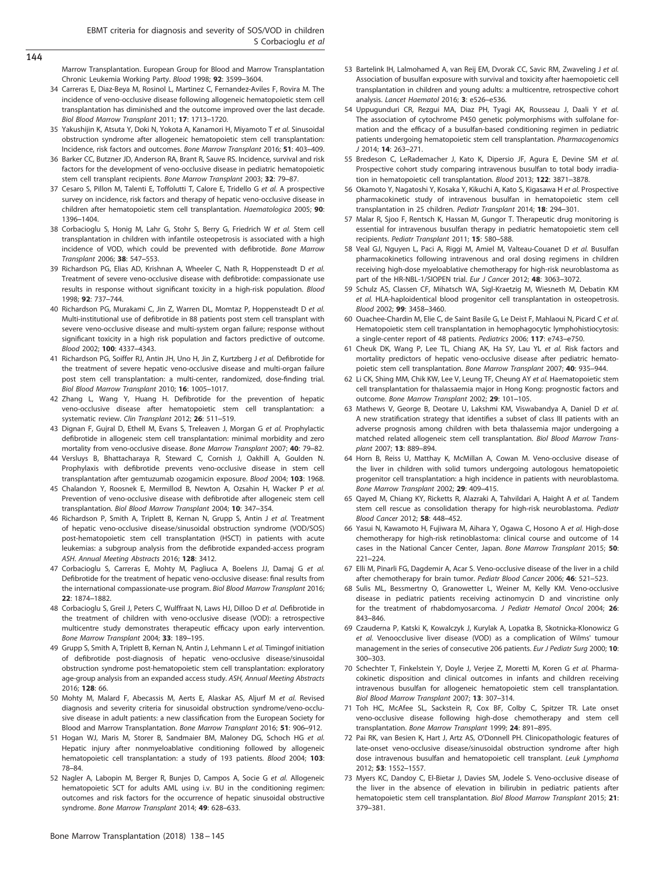Marrow Transplantation. European Group for Blood and Marrow Transplantation Chronic Leukemia Working Party. Blood 1998; 92: 3599–3604.

- 34 Carreras E, Diaz-Beya M, Rosinol L, Martinez C, Fernandez-Aviles F, Rovira M. The incidence of veno-occlusive disease following allogeneic hematopoietic stem cell transplantation has diminished and the outcome improved over the last decade. Biol Blood Marrow Transplant 2011; 17: 1713–1720.
- 35 Yakushijin K, Atsuta Y, Doki N, Yokota A, Kanamori H, Miyamoto T et al. Sinusoidal obstruction syndrome after allogeneic hematopoietic stem cell transplantation: Incidence, risk factors and outcomes. Bone Marrow Transplant 2016; 51: 403–409.
- 36 Barker CC, Butzner JD, Anderson RA, Brant R, Sauve RS. Incidence, survival and risk factors for the development of veno-occlusive disease in pediatric hematopoietic stem cell transplant recipients. Bone Marrow Transplant 2003; 32: 79–87.
- 37 Cesaro S, Pillon M, Talenti E, Toffolutti T, Calore E, Tridello G et al. A prospective survey on incidence, risk factors and therapy of hepatic veno-occlusive disease in children after hematopoietic stem cell transplantation. Haematologica 2005; 90: 1396–1404.
- 38 Corbacioglu S, Honig M, Lahr G, Stohr S, Berry G, Friedrich W et al. Stem cell transplantation in children with infantile osteopetrosis is associated with a high incidence of VOD, which could be prevented with defibrotide. Bone Marrow Transplant 2006; 38: 547–553.
- 39 Richardson PG, Elias AD, Krishnan A, Wheeler C, Nath R, Hoppensteadt D et al. Treatment of severe veno-occlusive disease with defibrotide: compassionate use results in response without significant toxicity in a high-risk population. Blood 1998; 92: 737–744.
- 40 Richardson PG, Murakami C, Jin Z, Warren DL, Momtaz P, Hoppensteadt D et al. Multi-institutional use of defibrotide in 88 patients post stem cell transplant with severe veno-occlusive disease and multi-system organ failure; response without significant toxicity in a high risk population and factors predictive of outcome. Blood 2002; 100: 4337–4343.
- 41 Richardson PG, Soiffer RJ, Antin JH, Uno H, Jin Z, Kurtzberg J et al. Defibrotide for the treatment of severe hepatic veno-occlusive disease and multi-organ failure post stem cell transplantation: a multi-center, randomized, dose-finding trial. Biol Blood Marrow Transplant 2010; 16: 1005–1017.
- 42 Zhang L, Wang Y, Huang H. Defibrotide for the prevention of hepatic veno-occlusive disease after hematopoietic stem cell transplantation: a systematic review. Clin Transplant 2012; 26: 511–519.
- 43 Dignan F, Gujral D, Ethell M, Evans S, Treleaven J, Morgan G et al. Prophylactic defibrotide in allogeneic stem cell transplantation: minimal morbidity and zero mortality from veno-occlusive disease. Bone Marrow Transplant 2007; 40: 79-82.
- 44 Versluys B, Bhattacharaya R, Steward C, Cornish J, Oakhill A, Goulden N. Prophylaxis with defibrotide prevents veno-occlusive disease in stem cell transplantation after gemtuzumab ozogamicin exposure. Blood 2004; 103: 1968.
- 45 Chalandon Y, Roosnek E, Mermillod B, Newton A, Ozsahin H, Wacker P et al. Prevention of veno-occlusive disease with defibrotide after allogeneic stem cell transplantation. Biol Blood Marrow Transplant 2004; 10: 347–354.
- 46 Richardson P, Smith A, Triplett B, Kernan N, Grupp S, Antin J et al. Treatment of hepatic veno-occlusive disease/sinusoidal obstruction syndrome (VOD/SOS) post-hematopoietic stem cell transplantation (HSCT) in patients with acute leukemias: a subgroup analysis from the defibrotide expanded-access program ASH. Annual Meeting Abstracts 2016; 128: 3412.
- 47 Corbacioglu S, Carreras E, Mohty M, Pagliuca A, Boelens JJ, Damaj G et al. Defibrotide for the treatment of hepatic veno-occlusive disease: final results from the international compassionate-use program. Biol Blood Marrow Transplant 2016; 22: 1874–1882.
- 48 Corbacioglu S, Greil J, Peters C, Wulffraat N, Laws HJ, Dilloo D et al. Defibrotide in the treatment of children with veno-occlusive disease (VOD): a retrospective multicentre study demonstrates therapeutic efficacy upon early intervention. Bone Marrow Transplant 2004; 33: 189–195.
- 49 Grupp S, Smith A, Triplett B, Kernan N, Antin J, Lehmann L et al. Timingof initiation of defibrotide post-diagnosis of hepatic veno-occlusive disease/sinusoidal obstruction syndrome post-hematopoietic stem cell transplantation: exploratory age-group analysis from an expanded access study. ASH, Annual Meeting Abstracts 2016; 128: 66.
- 50 Mohty M, Malard F, Abecassis M, Aerts E, Alaskar AS, Aljurf M et al. Revised diagnosis and severity criteria for sinusoidal obstruction syndrome/veno-occlusive disease in adult patients: a new classification from the European Society for Blood and Marrow Transplantation. Bone Marrow Transplant 2016; 51: 906–912.
- 51 Hogan WJ, Maris M, Storer B, Sandmaier BM, Maloney DG, Schoch HG et al. Hepatic injury after nonmyeloablative conditioning followed by allogeneic hematopoietic cell transplantation: a study of 193 patients. Blood 2004; 103: 78–84.
- 52 Nagler A, Labopin M, Berger R, Bunjes D, Campos A, Socie G et al. Allogeneic hematopoietic SCT for adults AML using i.v. BU in the conditioning regimen: outcomes and risk factors for the occurrence of hepatic sinusoidal obstructive syndrome. Bone Marrow Transplant 2014; 49: 628–633.
- 53 Bartelink IH, Lalmohamed A, van Reij EM, Dvorak CC, Savic RM, Zwaveling J et al. Association of busulfan exposure with survival and toxicity after haemopoietic cell transplantation in children and young adults: a multicentre, retrospective cohort analysis. Lancet Haematol 2016; 3: e526–e536.
- 54 Uppugunduri CR, Rezgui MA, Diaz PH, Tyagi AK, Rousseau J, Daali Y et al. The association of cytochrome P450 genetic polymorphisms with sulfolane formation and the efficacy of a busulfan-based conditioning regimen in pediatric patients undergoing hematopoietic stem cell transplantation. Pharmacogenomics J 2014; 14: 263–271.
- 55 Bredeson C, LeRademacher J, Kato K, Dipersio JF, Agura E, Devine SM et al. Prospective cohort study comparing intravenous busulfan to total body irradiation in hematopoietic cell transplantation. Blood 2013; 122: 3871–3878.
- 56 Okamoto Y, Nagatoshi Y, Kosaka Y, Kikuchi A, Kato S, Kigasawa H et al. Prospective pharmacokinetic study of intravenous busulfan in hematopoietic stem cell transplantation in 25 children. Pediatr Transplant 2014; 18: 294–301.
- 57 Malar R, Sjoo F, Rentsch K, Hassan M, Gungor T. Therapeutic drug monitoring is essential for intravenous busulfan therapy in pediatric hematopoietic stem cell recipients. Pediatr Transplant 2011; 15: 580–588.
- 58 Veal GJ, Nguyen L, Paci A, Riggi M, Amiel M, Valteau-Couanet D et al. Busulfan pharmacokinetics following intravenous and oral dosing regimens in children receiving high-dose myeloablative chemotherapy for high-risk neuroblastoma as part of the HR-NBL-1/SIOPEN trial. Eur J Cancer 2012; 48: 3063-3072.
- 59 Schulz AS, Classen CF, Mihatsch WA, Sigl-Kraetzig M, Wiesneth M, Debatin KM et al. HLA-haploidentical blood progenitor cell transplantation in osteopetrosis. Blood 2002; 99: 3458–3460.
- 60 Ouachee-Chardin M, Elie C, de Saint Basile G, Le Deist F, Mahlaoui N, Picard C et al. Hematopoietic stem cell transplantation in hemophagocytic lymphohistiocytosis: a single-center report of 48 patients. Pediatrics 2006; 117: e743–e750.
- 61 Cheuk DK, Wang P, Lee TL, Chiang AK, Ha SY, Lau YL et al. Risk factors and mortality predictors of hepatic veno-occlusive disease after pediatric hematopoietic stem cell transplantation. Bone Marrow Transplant 2007; 40: 935–944.
- 62 Li CK, Shing MM, Chik KW, Lee V, Leung TF, Cheung AY et al. Haematopoietic stem cell transplantation for thalassaemia major in Hong Kong: prognostic factors and outcome. Bone Marrow Transplant 2002; 29: 101–105.
- 63 Mathews V, George B, Deotare U, Lakshmi KM, Viswabandya A, Daniel D et al. A new stratification strategy that identifies a subset of class III patients with an adverse prognosis among children with beta thalassemia major undergoing a matched related allogeneic stem cell transplantation. Biol Blood Marrow Transplant 2007; 13: 889–894.
- 64 Horn B, Reiss U, Matthay K, McMillan A, Cowan M. Veno-occlusive disease of the liver in children with solid tumors undergoing autologous hematopoietic progenitor cell transplantation: a high incidence in patients with neuroblastoma. Bone Marrow Transplant 2002; 29: 409–415.
- 65 Qayed M, Chiang KY, Ricketts R, Alazraki A, Tahvildari A, Haight A et al. Tandem stem cell rescue as consolidation therapy for high-risk neuroblastoma. Pediatr Blood Cancer 2012; 58: 448–452.
- 66 Yasui N, Kawamoto H, Fujiwara M, Aihara Y, Ogawa C, Hosono A et al. High-dose chemotherapy for high-risk retinoblastoma: clinical course and outcome of 14 cases in the National Cancer Center, Japan. Bone Marrow Transplant 2015; 50: 221–224.
- 67 Elli M, Pinarli FG, Dagdemir A, Acar S. Veno-occlusive disease of the liver in a child after chemotherapy for brain tumor. Pediatr Blood Cancer 2006; 46: 521-523.
- 68 Sulis ML, Bessmertny O, Granowetter L, Weiner M, Kelly KM. Veno-occlusive disease in pediatric patients receiving actinomycin D and vincristine only for the treatment of rhabdomyosarcoma. J Pediatr Hematol Oncol 2004; 26: 843–846.
- 69 Czauderna P, Katski K, Kowalczyk J, Kurylak A, Lopatka B, Skotnicka-Klonowicz G et al. Venoocclusive liver disease (VOD) as a complication of Wilms' tumour management in the series of consecutive 206 patients. Eur J Pediatr Surg 2000; 10: 300–303.
- 70 Schechter T, Finkelstein Y, Doyle J, Verjee Z, Moretti M, Koren G et al. Pharmacokinetic disposition and clinical outcomes in infants and children receiving intravenous busulfan for allogeneic hematopoietic stem cell transplantation. Biol Blood Marrow Transplant 2007; 13: 307–314.
- 71 Toh HC, McAfee SL, Sackstein R, Cox BF, Colby C, Spitzer TR. Late onset veno-occlusive disease following high-dose chemotherapy and stem cell transplantation. Bone Marrow Transplant 1999; 24: 891–895.
- 72 Pai RK, van Besien K, Hart J, Artz AS, O'Donnell PH. Clinicopathologic features of late-onset veno-occlusive disease/sinusoidal obstruction syndrome after high dose intravenous busulfan and hematopoietic cell transplant. Leuk Lymphoma 2012; 53: 1552–1557.
- 73 Myers KC, Dandoy C, El-Bietar J, Davies SM, Jodele S. Veno-occlusive disease of the liver in the absence of elevation in bilirubin in pediatric patients after hematopoietic stem cell transplantation. Biol Blood Marrow Transplant 2015; 21: 379–381.